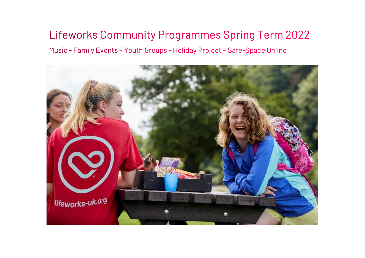# Lifeworks Community Programmes Spring Term 2022

Music - Family Events - Youth Groups - Holiday Project - Safe-Space Online

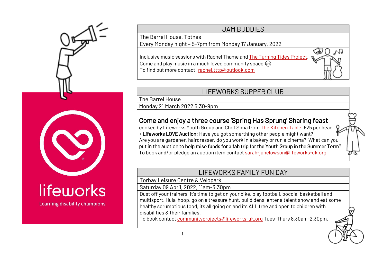

# lifeworks

Learning disability champions

#### JAM BUDDIES

The Barrel House, Totnes

Every Monday night – 5-7pm from Monday 17 January, 2022

Inclusive music sessions with Rachel Thame an[d The Turning Tides Project.](http://www.theturningtidesproject.org.uk/) Come and play music in a much loved community space  $\circledcirc$ To find out more contact: [rachel.tttp@outlook.com](mailto:rachel.tttp@outlook.com) 

#### LIFEWORKS SUPPER CLUB

The Barrel House

Monday 21 March 2022 6.30-9pm

### Come and enjoy a three course 'Spring Has Sprung' Sharing feast

cooked by Lifeworks Youth Group and Chef Sima from [The Kitchen Table £](https://www.thekitchentable.org.uk/)25 per head + Lifeworks LOVE Auction: Have you got somerthing other people might want? Are you are gardener, hairdresser, do you work in a bakery or run a cinema? What can you put in the auction to help raise funds for a fab trip for the Youth Group in the Summer Term? To book and/or pledge an auction item contact [sarah-janelowson@lifeworks-uk.org](mailto:sarah-janelowson@lifeworks-uk.org)

#### LIFEWORKS FAMILY FUN DAY

Torbay Leisure Centre & Velopark

Saturday 09 April, 2022, 11am-3.30pm

Dust off your trainers, it's time to get on your bike, play football, boccia, basketball and multisport, Hula-hoop, go on a treasure hunt, build dens, enter a talent show and eat some healthy scrumptious food, its all going on and its ALL free and open to children with disabilities & their families.

To book contact [communityprojects@lifeworks-uk.org](mailto:communityprojects@lifeworks-uk.org) Tues-Thurs 8.30am-2.30pm.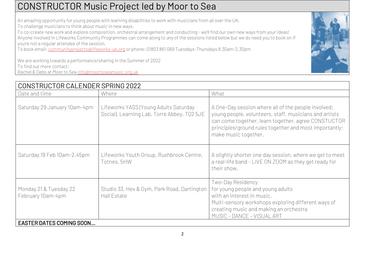## CONSTRUCTOR Music Project led by Moor to Sea

An amazing opportunity for young people with learning disabilities to work with musicians from all over the UK.

To challenge musicians to think about music in new ways.

To co-create new work and explore composition, orchestral arrangement and conducting - we'll find our own new ways from your ideas! Anyone involved in Lifeworks Community Programmes can come along to any of the sessions listed below but we do need you to book on if you're not a regular attendee of the session.

To book email[: communityprojects@lifeworks-uk.org](mailto:communityprojects@lifeworks-uk.org) or phone: 01803 861 069 Tuesdays-Thursdays 8.30am-2.30pm

We are working towards a performance/sharing in the Summer of 2022 To find out more contact: Rachel & Debs at Moor to Sea [info@moortoseamusic.org.uk](mailto:info@moortoseamusic.org.uk)

| CONSTRUCTOR CALENDER SPRING 2022            |                                                                                      |                                                                                                                                                                                                                                                        |  |  |  |
|---------------------------------------------|--------------------------------------------------------------------------------------|--------------------------------------------------------------------------------------------------------------------------------------------------------------------------------------------------------------------------------------------------------|--|--|--|
| Date and time                               | Where                                                                                | What                                                                                                                                                                                                                                                   |  |  |  |
| Saturday 29 January 10am-4pm                | Lifeworks YASS (Young Adults Saturday<br>Social), Learning Lab, Torre Abbey, TQ2 5JE | A One-Day session where all of the people involved;<br>young people, volunteers, staff, musicians and artists<br>can come together, learn together, agree CONSTUCTOR<br>principles/ground rules together and most importantly;<br>make music together. |  |  |  |
| Saturday 19 Feb 10am-2.45pm                 | Lifeworks Youth Group, Rushbrook Centre,<br>Totnes, 5HW                              | A slightly shorter one day session, where we get to meet<br>a real-life band - LIVE ON ZOOM as they get ready for<br>their show.                                                                                                                       |  |  |  |
| Monday 21 & Tuesday 22<br>February 10am-4pm | Studio 33, Hex & Gym, Park Road, Dartington<br>Hall Estate                           | Two-Day Residency<br>for young people and young adults<br>with an interest in music.<br>Multi-sensory workshops exploring different ways of<br>creating music and making an orchestra<br>MUSIC - DANCE - VISUAL ART                                    |  |  |  |
| <b>EASTER DATES COMING SOON</b>             |                                                                                      |                                                                                                                                                                                                                                                        |  |  |  |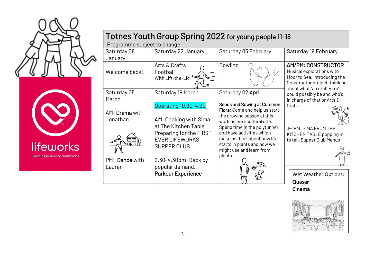



| Totnes Youth Group Spring 2022 for young people 11-18<br>Programme subject to change |                                                                                                                                                                                                                         |                                                                                                                                                                                                                                                                                                    |                                                                                                                                                      |  |  |
|--------------------------------------------------------------------------------------|-------------------------------------------------------------------------------------------------------------------------------------------------------------------------------------------------------------------------|----------------------------------------------------------------------------------------------------------------------------------------------------------------------------------------------------------------------------------------------------------------------------------------------------|------------------------------------------------------------------------------------------------------------------------------------------------------|--|--|
| Saturday 08<br>January                                                               | Saturday 22 January                                                                                                                                                                                                     | Saturday 05 February                                                                                                                                                                                                                                                                               | Saturday 19 February                                                                                                                                 |  |  |
| Welcome back!!                                                                       | Arts & Crafts<br>Football<br>With Lift-the-Lid                                                                                                                                                                          | <b>Bowling</b>                                                                                                                                                                                                                                                                                     | <b>AM/PM: CONSTRUCTOR</b><br>Musical explorations with<br>Moor to Sea, introducing the<br>Constructor project, thinking<br>about what "an orchestra" |  |  |
| Saturday 05<br>March                                                                 | Saturday 19 March                                                                                                                                                                                                       | Saturday 02 April                                                                                                                                                                                                                                                                                  | could possibly be and who's<br>in charge of that or Arts &                                                                                           |  |  |
| AM: Drama with<br>Jonathan<br>PM: Dance with<br>Lauren                               | Operating 10.30-4.30<br>AM: Cooking with Sima<br>at The Kitchen Table<br>Preparing for the FIRST<br><b>EVER LIFEWORKS</b><br><b>SUPPER CLUB</b><br>2.30-4.30pm: Back by<br>popular demand,<br><b>Parkour Experience</b> | <b>Seeds and Sowing at Common</b><br>Flora: Come and help us start<br>the growing season at this<br>working horticultural site.<br>Spend time in the polytunnel<br>and have activities which<br>make us think about how life<br>starts in plants and how we<br>might use and learn from<br>plants. | Crafts<br>3-4PM: SIMA FROM THE<br>KITCHEN TABLE popping in<br>to talk Supper Club Menus<br><b>Wet Weather Options:</b>                               |  |  |
|                                                                                      |                                                                                                                                                                                                                         |                                                                                                                                                                                                                                                                                                    | Quasar<br>Cinema                                                                                                                                     |  |  |

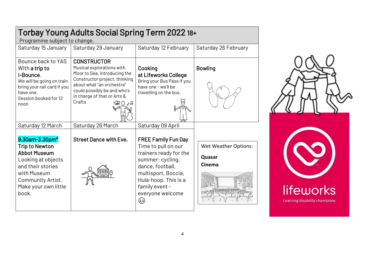| Torbay Young Adults Social Spring Term 2022 18+                                                                                                                                |                                                                                                                                                                                                                                        |                                                                                                                                                                                                               |                                                        |  |  |  |
|--------------------------------------------------------------------------------------------------------------------------------------------------------------------------------|----------------------------------------------------------------------------------------------------------------------------------------------------------------------------------------------------------------------------------------|---------------------------------------------------------------------------------------------------------------------------------------------------------------------------------------------------------------|--------------------------------------------------------|--|--|--|
| Programme subject to change.                                                                                                                                                   |                                                                                                                                                                                                                                        |                                                                                                                                                                                                               |                                                        |  |  |  |
| Saturday 15 January                                                                                                                                                            | Saturday 29 January                                                                                                                                                                                                                    | Saturday 12 February                                                                                                                                                                                          | Saturday 26 February                                   |  |  |  |
| Bounce back to YAS<br>With a trip to<br>I-Bounce.<br>We will be going on train<br>bring your rail card if you<br>have one.<br>Session booked for 12<br>noon                    | <b>CONSTRUCTOR</b><br>Musical explorations with<br>Moor to Sea, introducing the<br>Constructor project, thinking<br>about what "an orchestra"<br>could possibly be and who's<br>in charge of that or Arts &<br>Crafts<br>$CDO^{\ast}1$ | Cooking<br>at Lifeworks College<br>Bring your Bus Pass if you<br>have one - we'll be<br>travelling on the bus.                                                                                                | <b>Bowling</b>                                         |  |  |  |
| Saturday 12 March                                                                                                                                                              | Saturday 26 March                                                                                                                                                                                                                      | Saturday 09 April                                                                                                                                                                                             |                                                        |  |  |  |
| 9.30am-3.30pm*<br><b>Trip to Newton</b><br><b>Abbot Museum</b><br>Looking at objects<br>and their stories<br>with Museum<br>Community Artist.<br>Make your own little<br>book. | <b>Street Dance with Eve.</b>                                                                                                                                                                                                          | <b>FREE Family Fun Day</b><br>Time to pull on our<br>trainers ready for the<br>summer: cycling,<br>dance, football,<br>multisport, Boccia,<br>Hula-hoop. This is a<br>family event -<br>everyone welcome<br>ک | <b>Wet Weather Options:</b><br>Quasar<br><b>Cinema</b> |  |  |  |



 $\overline{\phantom{0}}$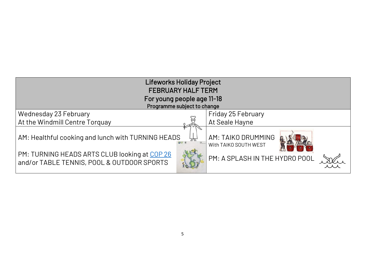| <b>Lifeworks Holiday Project</b><br><b>FEBRUARY HALF TERM</b>                               |  |                                             |  |  |  |
|---------------------------------------------------------------------------------------------|--|---------------------------------------------|--|--|--|
| For young people age 11-18<br>Programme subject to change                                   |  |                                             |  |  |  |
| Wednesday 23 February                                                                       |  | Friday 25 February                          |  |  |  |
| At the Windmill Centre Torquay                                                              |  | At Seale Hayne                              |  |  |  |
| AM: Healthful cooking and lunch with TURNING HEADS                                          |  | AM: TAIKO DRUMMING<br>With TAIKO SOUTH WEST |  |  |  |
| PM: TURNING HEADS ARTS CLUB looking at COP 26<br>and/or TABLE TENNIS, POOL & OUTDOOR SPORTS |  | PM: A SPLASH IN THE HYDRO POOL              |  |  |  |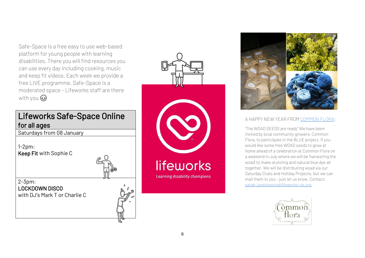Safe-Space is a free easy to use web-based platform for young people with learning disabilities. There you will find resources you can use every day including cooking, music and keep fit videos. Each week we provide a free LIVE programme. Safe-Space is a moderated space - Lifeworks staff are there with you  $\odot$ 

## Lifeworks Safe-Space Online for all ages

Saturdays from 08 January

1-2pm: Keep Fit with Sophie C

2-3pm: LOCKDOWN DISCO

with DJ's Mark T or Charlie C





#### A HAPPY NEW YEAR FRO[M COMMON FLORA:](https://www.commonflora.co.uk/)

"The WOAD SEEDS are ready" We have been invited by local community growers, Common Flora, to participate in the BLUE project. If you would like some free WOAD seeds to grow at home ahead of a celebration at Common Flora on a weekend in July where we will be 'harvesting the woad' to make stunning and natural blue dye all together. We will be distributing woad via our Saturday Clubs and Holiday Projects, but we can mail them to you – just let us know. Contact: [sarah-janelowson@lifeworks-uk.org](mailto:sarah-janelowson@lifeworks-uk.org) 

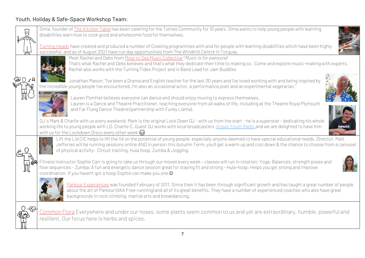#### Youth, Holiday & Safe-Space Workshop Team: